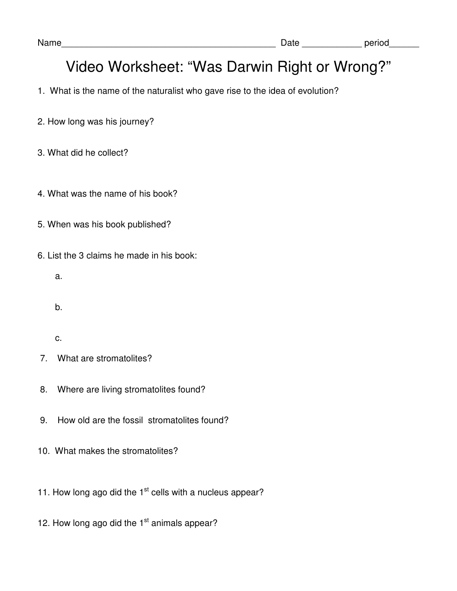- 1. What is the name of the naturalist who gave rise to the idea of evolution?
- 2. How long was his journey?
- 3. What did he collect?
- 4. What was the name of his book?
- 5. When was his book published?
- 6. List the 3 claims he made in his book:
	- a.
	- b.
	- c.
- 7. What are stromatolites?
- 8. Where are living stromatolites found?
- 9. How old are the fossil stromatolites found?
- 10. What makes the stromatolites?
- 11. How long ago did the  $1<sup>st</sup>$  cells with a nucleus appear?
- 12. How long ago did the 1<sup>st</sup> animals appear?